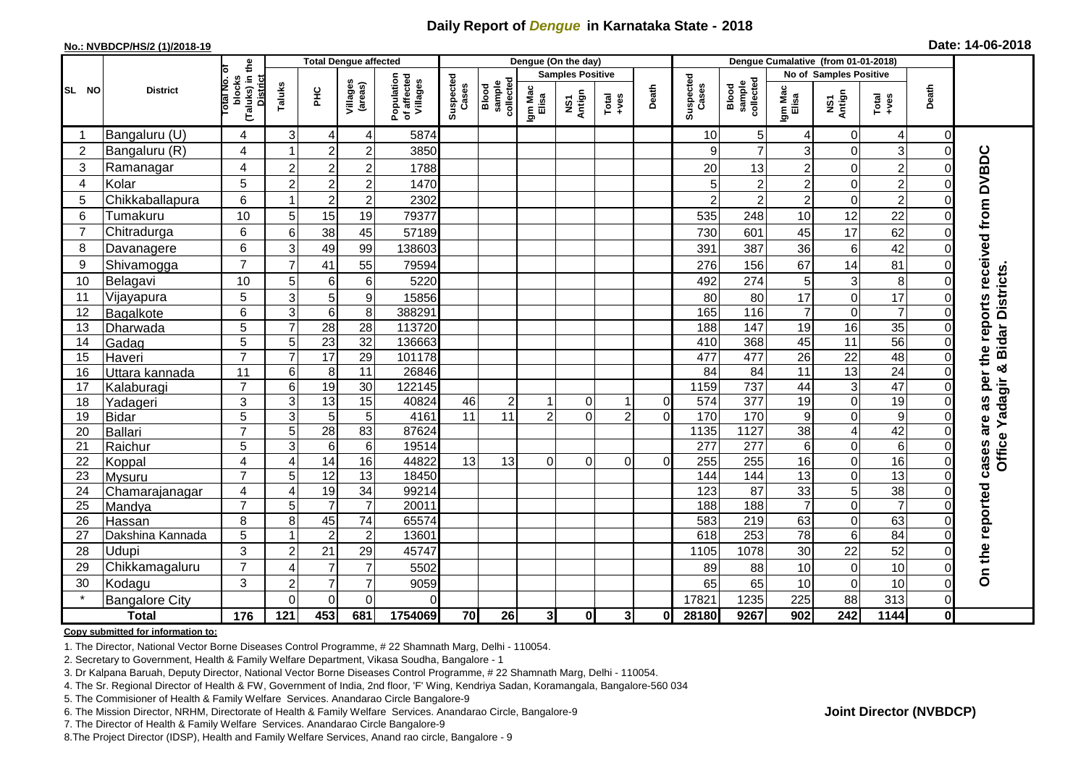## **Daily Report of** *Dengue* **in Karnataka State - 2018**

### **No.: NVBDCP/HS/2 (1)/2018-19**

|                | <b>District</b>         | the                                 | <b>Total Dengue affected</b> |                 |                       |                                       |                       |                                   |                  | Dengue (On the day)               |                     |                            |                    |                                     |                         |                            |                      |          |                                     |
|----------------|-------------------------|-------------------------------------|------------------------------|-----------------|-----------------------|---------------------------------------|-----------------------|-----------------------------------|------------------|-----------------------------------|---------------------|----------------------------|--------------------|-------------------------------------|-------------------------|----------------------------|----------------------|----------|-------------------------------------|
| SL NO          |                         | ō                                   |                              |                 |                       |                                       |                       |                                   |                  | <b>Samples Positive</b>           |                     |                            |                    |                                     |                         | No of Samples Positive     |                      |          |                                     |
|                |                         | (Taluks) in t<br>blocks<br>otal No. | Taluks                       | Ξ               | Villages<br>(areas)   | Population<br>of affected<br>Villages | Suspected<br>Cases    | Blood<br>sample<br>collected      | Igm Mac<br>Elisa | Antign<br>$\overline{\mathbf{s}}$ | $Total$             | Death                      | Suspected<br>Cases | collected<br><b>Blood</b><br>sample | Igm Mac<br>Elisa        | NS1<br>Antign              | Total<br>+ves        | Death    |                                     |
| -1             | Bangaluru (U)           | 4                                   | 3                            | 4               | 4                     | 5874                                  |                       |                                   |                  |                                   |                     |                            | 10                 | 5 <sub>5</sub>                      |                         | 0                          | 4                    | $\Omega$ |                                     |
| $\overline{2}$ | Bangaluru (R)           | $\overline{4}$                      | 1                            | $\overline{2}$  | $\overline{c}$        | 3850                                  |                       |                                   |                  |                                   |                     |                            | 9                  | $\overline{7}$                      | 3                       | $\mathbf 0$                | 3                    | $\Omega$ |                                     |
| 3              | Ramanagar               | 4                                   | $\overline{c}$               | $\overline{2}$  | $\overline{2}$        | 1788                                  |                       |                                   |                  |                                   |                     |                            | 20                 | 13                                  | 2                       | $\mathbf 0$                | $\overline{2}$       | $\Omega$ | per the reports received from DVBDC |
| $\overline{4}$ | Kolar                   | 5                                   | $\overline{c}$               | $\overline{2}$  | $\overline{2}$        | 1470                                  |                       |                                   |                  |                                   |                     |                            | 5                  | $\overline{2}$                      | $\overline{c}$          | $\mathbf 0$                | $\overline{2}$       | $\Omega$ |                                     |
| 5              | Chikkaballapura         | 6                                   | 1                            | $\overline{c}$  | $\mathbf 2$           | 2302                                  |                       |                                   |                  |                                   |                     |                            | 2                  | $\overline{2}$                      | $\overline{\mathbf{c}}$ | $\mathbf 0$                | $\overline{c}$       | $\Omega$ |                                     |
| 6              | Tumakuru                | 10                                  | 5                            | 15              | 19                    | 79377                                 |                       |                                   |                  |                                   |                     |                            | 535                | 248                                 | 10                      | 12                         | 22                   | $\Omega$ |                                     |
| $\overline{7}$ | Chitradurga             | $6\phantom{1}$                      | 6                            | 38              | 45                    | 57189                                 |                       |                                   |                  |                                   |                     |                            | 730                | 601                                 | 45                      | 17                         | 62                   | $\Omega$ |                                     |
| 8              | Davanagere              | 6                                   | 3                            | 49              | 99                    | 138603                                |                       |                                   |                  |                                   |                     |                            | 391                | 387                                 | 36                      | 6                          | 42                   | $\Omega$ |                                     |
| 9              | Shivamogga              | $\overline{7}$                      | $\overline{7}$               | 41              | 55                    | 79594                                 |                       |                                   |                  |                                   |                     |                            | 276                | 156                                 | 67                      | 14                         | 81                   | $\Omega$ |                                     |
| 10             | Belagavi                | 10                                  | 5                            | $\,6$           | $\,6$                 | 5220                                  |                       |                                   |                  |                                   |                     |                            | 492                | 274                                 | 5                       | 3                          | 8                    | $\Omega$ | <b>Bidar Districts</b>              |
| 11             | Vijayapura              | 5                                   | 3                            | 5               | $\boldsymbol{9}$      | 15856                                 |                       |                                   |                  |                                   |                     |                            | 80                 | 80                                  | 17                      | 0                          | 17                   | $\Omega$ |                                     |
| 12             | Bagalkote               | 6                                   | $\overline{3}$               | $\overline{6}$  | $\overline{8}$        | 388291                                |                       |                                   |                  |                                   |                     |                            | 165                | 116                                 | $\overline{7}$          | $\overline{0}$             | $\overline{7}$       | $\Omega$ |                                     |
| 13             | Dharwada                | 5                                   | $\overline{7}$               | 28              | 28                    | 113720                                |                       |                                   |                  |                                   |                     |                            | 188                | 147                                 | 19                      | 16                         | 35                   | $\Omega$ |                                     |
| 14             | Gadag                   | 5                                   | 5                            | 23              | $\overline{32}$       | 136663                                |                       |                                   |                  |                                   |                     |                            | 410                | 368                                 | 45                      | $\overline{11}$            | 56                   | $\Omega$ |                                     |
| 15             | Haveri                  | $\overline{7}$                      | $\overline{7}$               | $\overline{17}$ | 29                    | 101178                                |                       |                                   |                  |                                   |                     |                            | 477                | 477                                 | 26                      | $\overline{22}$            | 48                   | $\Omega$ |                                     |
| 16             | Uttara kannada          | 11                                  | $\,$ 6 $\,$                  | 8               | $\overline{11}$       | 26846                                 |                       |                                   |                  |                                   |                     |                            | 84                 | 84                                  | $\overline{11}$         | 13                         | 24                   | $\Omega$ | ×                                   |
| 17             | Kalaburagi              | $\overline{7}$                      | 6                            | 19              | 30                    | 122145                                |                       |                                   |                  |                                   |                     |                            | 1159               | 737                                 | 44                      | 3                          | 47                   | $\Omega$ | Yadagir                             |
| 18             | Yadageri                | 3                                   | 3<br>3                       | 13              | $\overline{15}$       | 40824<br>4161                         | 46<br>$\overline{11}$ | $\overline{c}$<br>$\overline{11}$ | $\mathcal{P}$    | 0<br>$\Omega$                     | 1<br>$\overline{2}$ | $\overline{0}$<br>$\Omega$ | 574<br>170         | 377<br>170                          | 19                      | $\mathbf 0$<br>$\mathbf 0$ | 19<br>$\overline{9}$ | $\Omega$ | as                                  |
| 19<br>20       | <b>Bidar</b><br>Ballari | 5<br>$\overline{7}$                 | $\overline{5}$               | 5<br>28         | $5\phantom{.0}$<br>83 | 87624                                 |                       |                                   |                  |                                   |                     |                            | 1135               | 1127                                | 9<br>$\overline{38}$    | $\overline{4}$             | 42                   | $\Omega$ | are                                 |
| 21             | Raichur                 | 5                                   | 3                            | $6\phantom{1}6$ | $\,6$                 | 19514                                 |                       |                                   |                  |                                   |                     |                            | 277                | 277                                 | 6                       | $\mathbf 0$                | $\overline{6}$       | $\Omega$ |                                     |
| 22             | Koppal                  | 4                                   | 4                            | 14              | 16                    | 44822                                 | 13                    | 13                                | 0                | 0                                 | $\Omega$            | $\Omega$                   | 255                | 255                                 | 16                      | $\mathbf 0$                | 16                   | $\Omega$ | Office<br>cases                     |
| 23             | Mysuru                  | $\overline{7}$                      | 5                            | $\overline{12}$ | 13                    | 18450                                 |                       |                                   |                  |                                   |                     |                            | 144                | 144                                 | 13                      | $\mathbf 0$                | $\overline{13}$      | $\Omega$ |                                     |
| 24             | Chamarajanagar          | 4                                   | 4                            | 19              | 34                    | 99214                                 |                       |                                   |                  |                                   |                     |                            | 123                | $\overline{87}$                     | 33                      | 5                          | 38                   | $\Omega$ |                                     |
| 25             | Mandya                  | $\overline{7}$                      | 5                            | $\overline{7}$  | $\overline{7}$        | 20011                                 |                       |                                   |                  |                                   |                     |                            | 188                | 188                                 | $\overline{7}$          | 0                          | $\overline{7}$       | $\Omega$ |                                     |
| 26             | Hassan                  | 8                                   | 8                            | 45              | 74                    | 65574                                 |                       |                                   |                  |                                   |                     |                            | 583                | 219                                 | 63                      | 0                          | 63                   | $\Omega$ |                                     |
| 27             | Dakshina Kannada        | 5                                   | $\mathbf{1}$                 | $\overline{2}$  | $\overline{2}$        | 13601                                 |                       |                                   |                  |                                   |                     |                            | 618                | 253                                 | $\overline{78}$         | 6                          | 84                   | $\Omega$ |                                     |
| 28             | Udupi                   | 3                                   | $\overline{2}$               | 21              | 29                    | 45747                                 |                       |                                   |                  |                                   |                     |                            | 1105               | 1078                                | 30                      | 22                         | 52                   | $\Omega$ |                                     |
| 29             | Chikkamagaluru          | $\overline{7}$                      | 4                            | $\overline{7}$  | $\overline{7}$        | 5502                                  |                       |                                   |                  |                                   |                     |                            | 89                 | 88                                  | 10                      | $\mathbf 0$                | $10$                 | $\Omega$ | On the reported                     |
| 30             | Kodagu                  | 3                                   | $\overline{2}$               | $\overline{7}$  | $\overline{7}$        | 9059                                  |                       |                                   |                  |                                   |                     |                            | 65                 | 65                                  | 10                      | $\mathbf 0$                | 10                   | $\Omega$ |                                     |
|                | <b>Bangalore City</b>   |                                     | $\Omega$                     | $\overline{0}$  | $\Omega$              | $\Omega$                              |                       |                                   |                  |                                   |                     |                            | 17821              | 1235                                | 225                     | 88                         | 313                  | $\Omega$ |                                     |
| <b>Total</b>   |                         | 176                                 | 121                          | 453             | 681                   | 1754069                               | 70                    | 26                                | 3 <sup>l</sup>   | $\mathbf{0}$                      | 3                   | 0l                         | 28180              | 9267                                | 902                     | 242                        | 1144                 | 0        |                                     |

## **Copy submitted for information to:**

1. The Director, National Vector Borne Diseases Control Programme, # 22 Shamnath Marg, Delhi - 110054.

2. Secretary to Government, Health & Family Welfare Department, Vikasa Soudha, Bangalore - 1

3. Dr Kalpana Baruah, Deputy Director, National Vector Borne Diseases Control Programme, # 22 Shamnath Marg, Delhi - 110054.

- 4. The Sr. Regional Director of Health & FW, Government of India, 2nd floor, 'F' Wing, Kendriya Sadan, Koramangala, Bangalore-560 034
- 5. The Commisioner of Health & Family Welfare Services. Anandarao Circle Bangalore-9
- 6. The Mission Director, NRHM, Directorate of Health & Family Welfare Services. Anandarao Circle, Bangalore-9

7. The Director of Health & Family Welfare Services. Anandarao Circle Bangalore-9

8.The Project Director (IDSP), Health and Family Welfare Services, Anand rao circle, Bangalore - 9